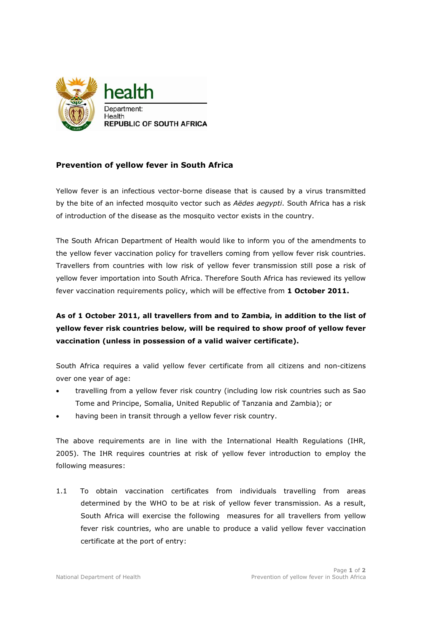

## Prevention of yellow fever in South Africa

Yellow fever is an infectious vector-borne disease that is caused by a virus transmitted by the bite of an infected mosquito vector such as Aëdes aegypti. South Africa has a risk of introduction of the disease as the mosquito vector exists in the country.

The South African Department of Health would like to inform you of the amendments to the yellow fever vaccination policy for travellers coming from yellow fever risk countries. Travellers from countries with low risk of yellow fever transmission still pose a risk of yellow fever importation into South Africa. Therefore South Africa has reviewed its yellow fever vaccination requirements policy, which will be effective from 1 October 2011.

## As of 1 October 2011, all travellers from and to Zambia, in addition to the list of yellow fever risk countries below, will be required to show proof of yellow fever vaccination (unless in possession of a valid waiver certificate).

South Africa requires a valid yellow fever certificate from all citizens and non-citizens over one year of age:

- travelling from a yellow fever risk country (including low risk countries such as Sao Tome and Principe, Somalia, United Republic of Tanzania and Zambia); or
- having been in transit through a yellow fever risk country.

The above requirements are in line with the International Health Regulations (IHR, 2005). The IHR requires countries at risk of yellow fever introduction to employ the following measures:

1.1 To obtain vaccination certificates from individuals travelling from areas determined by the WHO to be at risk of yellow fever transmission. As a result, South Africa will exercise the following measures for all travellers from yellow fever risk countries, who are unable to produce a valid yellow fever vaccination certificate at the port of entry: